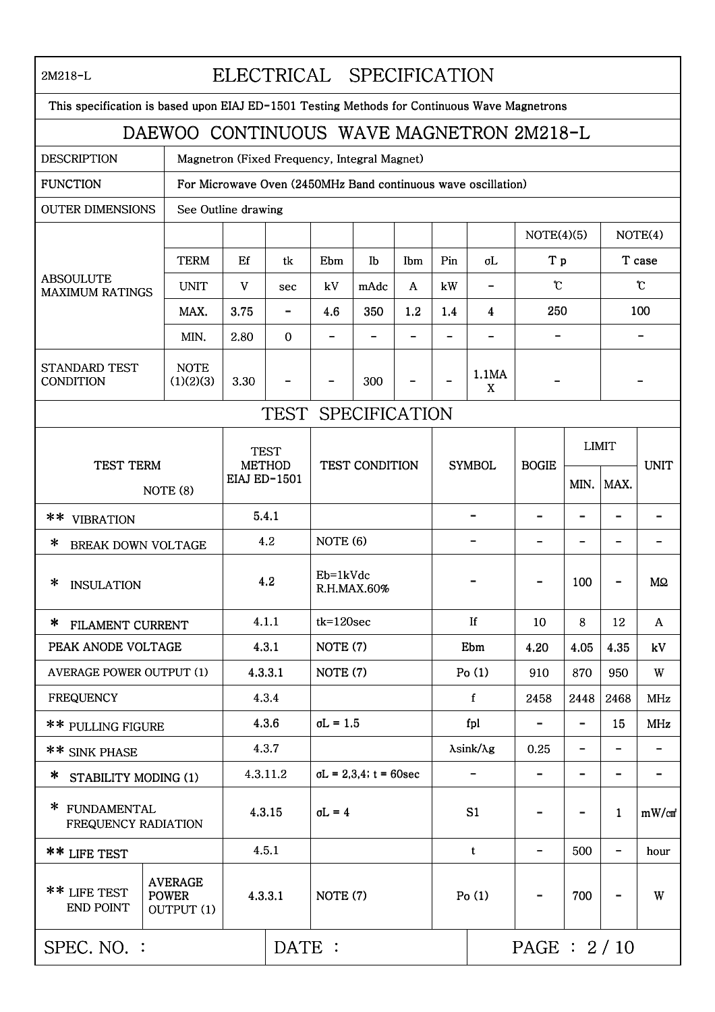| ELECTRICAL SPECIFICATION<br>2M218-L                                                          |                                                               |                                                     |                    |                                |      |     |                             |                          |                |                              |                          |                    |
|----------------------------------------------------------------------------------------------|---------------------------------------------------------------|-----------------------------------------------------|--------------------|--------------------------------|------|-----|-----------------------------|--------------------------|----------------|------------------------------|--------------------------|--------------------|
| This specification is based upon EIAJ ED-1501 Testing Methods for Continuous Wave Magnetrons |                                                               |                                                     |                    |                                |      |     |                             |                          |                |                              |                          |                    |
| DAEWOO CONTINUOUS WAVE MAGNETRON 2M218-L                                                     |                                                               |                                                     |                    |                                |      |     |                             |                          |                |                              |                          |                    |
| <b>DESCRIPTION</b><br>Magnetron (Fixed Frequency, Integral Magnet)                           |                                                               |                                                     |                    |                                |      |     |                             |                          |                |                              |                          |                    |
| <b>FUNCTION</b>                                                                              | For Microwave Oven (2450MHz Band continuous wave oscillation) |                                                     |                    |                                |      |     |                             |                          |                |                              |                          |                    |
| <b>OUTER DIMENSIONS</b>                                                                      | See Outline drawing                                           |                                                     |                    |                                |      |     |                             |                          |                |                              |                          |                    |
| <b>ABSOULUTE</b><br><b>MAXIMUM RATINGS</b>                                                   |                                                               |                                                     |                    |                                |      |     |                             |                          | NOTE(4)(5)     |                              | NOTE(4)                  |                    |
|                                                                                              | <b>TERM</b>                                                   | Ef                                                  | tk                 | Ebm                            | Ib   | Ibm | Pin                         | σL                       | T p            |                              | T case                   |                    |
|                                                                                              | <b>UNIT</b>                                                   | V                                                   | sec                | kV                             | mAdc | A   | kW                          | $\overline{\phantom{0}}$ | $\mathfrak{C}$ |                              | $\mathfrak{C}$           |                    |
|                                                                                              | MAX.                                                          | 3.75                                                | $\qquad \qquad -$  | 4.6                            | 350  | 1.2 | 1.4                         | 4                        | 250            |                              | 100                      |                    |
|                                                                                              | MIN.                                                          | 2.80                                                | $\Omega$           |                                |      |     |                             |                          |                |                              |                          |                    |
| <b>STANDARD TEST</b><br>CONDITION                                                            | <b>NOTE</b><br>(1)(2)(3)                                      | 3.30                                                |                    |                                | 300  |     |                             | 1.1MA<br>X               |                |                              |                          |                    |
|                                                                                              |                                                               |                                                     | TEST SPECIFICATION |                                |      |     |                             |                          |                |                              |                          |                    |
|                                                                                              |                                                               |                                                     |                    |                                |      |     |                             |                          |                |                              |                          |                    |
| <b>TEST TERM</b><br>NOTE (8)                                                                 |                                                               | <b>TEST</b><br><b>METHOD</b><br><b>EIAJ ED-1501</b> |                    | TEST CONDITION                 |      |     | <b>SYMBOL</b>               |                          | <b>BOGIE</b>   |                              | <b>LIMIT</b>             | <b>UNIT</b>        |
|                                                                                              |                                                               |                                                     |                    |                                |      |     |                             |                          |                | MIN.                         | MAX.                     |                    |
| **<br><b>VIBRATION</b>                                                                       |                                                               | 5.4.1                                               |                    |                                |      |     |                             |                          |                | $\overline{\phantom{0}}$     |                          |                    |
| ∗<br><b>BREAK DOWN VOLTAGE</b>                                                               |                                                               | 4.2                                                 |                    | NOTE (6)                       |      |     |                             |                          |                | $\overline{\phantom{0}}$     |                          |                    |
| ∗<br><b>INSULATION</b>                                                                       |                                                               | 4.2                                                 |                    | Eb=1kVdc<br>R.H.MAX.60%        |      |     |                             |                          |                | 100                          |                          | MΩ                 |
| * FILAMENT CURRENT                                                                           |                                                               | 4.1.1                                               |                    | $tk = 120sec$                  |      |     | If                          |                          | 10             | 8                            | 12                       | A                  |
| PEAK ANODE VOLTAGE                                                                           |                                                               | 4.3.1                                               |                    | NOTE (7)                       |      |     | Ebm                         |                          | 4.20           | 4.05                         | 4.35                     | kV                 |
| <b>AVERAGE POWER OUTPUT (1)</b>                                                              |                                                               | 4.3.3.1                                             |                    | NOTE (7)                       |      |     | Po(1)                       |                          | 910            | 870                          | 950                      | W                  |
| <b>FREQUENCY</b>                                                                             |                                                               | 4.3.4                                               |                    |                                |      |     | $\mathbf f$                 |                          | 2458           | 2448                         | 2468                     | MHz                |
| ** PULLING FIGURE                                                                            |                                                               | 4.3.6                                               |                    | $\sigma L = 1.5$               |      |     | fpl                         |                          |                | $\overline{\phantom{0}}$     | 15                       | MHz                |
| ** SINK PHASE                                                                                |                                                               | 4.3.7                                               |                    |                                |      |     | $\lambda$ sink/ $\lambda$ g |                          | 0.25           | $\qquad \qquad \blacksquare$ |                          |                    |
| ∗<br>STABILITY MODING (1)                                                                    |                                                               | 4.3.11.2                                            |                    | $\sigma L = 2,3,4$ ; t = 60sec |      |     | $\overline{\phantom{0}}$    |                          |                | $\qquad \qquad -$            | $\overline{\phantom{a}}$ |                    |
| * FUNDAMENTAL<br>FREQUENCY RADIATION                                                         |                                                               | 4.3.15                                              |                    | $\sigma L = 4$                 |      |     | S1                          |                          |                |                              | $\mathbf{1}$             | mW/cm <sup>2</sup> |
| ** LIFE TEST                                                                                 |                                                               | 4.5.1                                               |                    |                                |      |     | $\mathbf t$                 |                          |                | 500                          |                          | hour               |
| ** LIFE TEST<br><b>END POINT</b>                                                             | <b>AVERAGE</b><br><b>POWER</b><br>OUTPUT (1)                  | 4.3.3.1                                             |                    | NOTE (7)                       |      |     | Po(1)                       |                          |                | 700                          |                          | W                  |
| SPEC. NO. :                                                                                  | DATE :                                                        |                                                     |                    |                                |      |     | PAGE: 2/10                  |                          |                |                              |                          |                    |